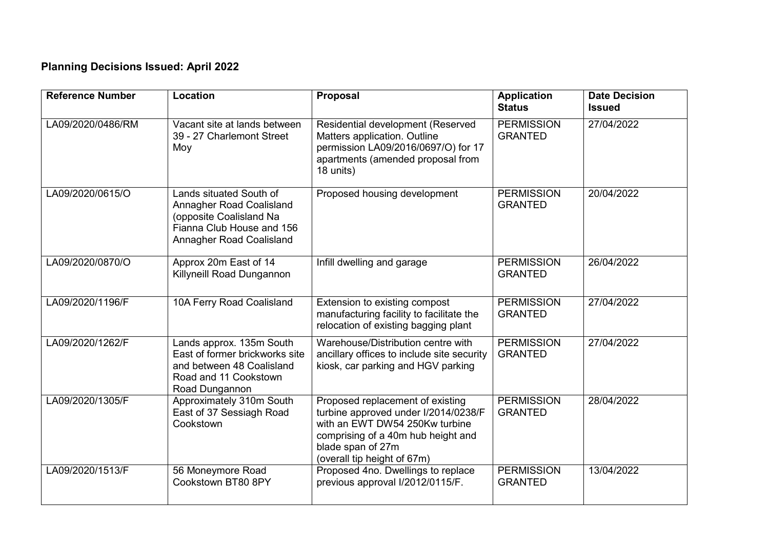## **Planning Decisions Issued: April 2022**

| <b>Reference Number</b> | Location                                                                                                                                | <b>Proposal</b>                                                                                                                                                                                      | <b>Application</b><br><b>Status</b> | <b>Date Decision</b><br><b>Issued</b> |
|-------------------------|-----------------------------------------------------------------------------------------------------------------------------------------|------------------------------------------------------------------------------------------------------------------------------------------------------------------------------------------------------|-------------------------------------|---------------------------------------|
| LA09/2020/0486/RM       | Vacant site at lands between<br>39 - 27 Charlemont Street<br>Moy                                                                        | Residential development (Reserved<br>Matters application. Outline<br>permission LA09/2016/0697/O) for 17<br>apartments (amended proposal from<br>18 units)                                           | <b>PERMISSION</b><br><b>GRANTED</b> | 27/04/2022                            |
| LA09/2020/0615/O        | Lands situated South of<br>Annagher Road Coalisland<br>(opposite Coalisland Na<br>Fianna Club House and 156<br>Annagher Road Coalisland | Proposed housing development                                                                                                                                                                         | <b>PERMISSION</b><br><b>GRANTED</b> | 20/04/2022                            |
| LA09/2020/0870/O        | Approx 20m East of 14<br>Killyneill Road Dungannon                                                                                      | Infill dwelling and garage                                                                                                                                                                           | <b>PERMISSION</b><br><b>GRANTED</b> | 26/04/2022                            |
| LA09/2020/1196/F        | 10A Ferry Road Coalisland                                                                                                               | Extension to existing compost<br>manufacturing facility to facilitate the<br>relocation of existing bagging plant                                                                                    | <b>PERMISSION</b><br><b>GRANTED</b> | 27/04/2022                            |
| LA09/2020/1262/F        | Lands approx. 135m South<br>East of former brickworks site<br>and between 48 Coalisland<br>Road and 11 Cookstown<br>Road Dungannon      | Warehouse/Distribution centre with<br>ancillary offices to include site security<br>kiosk, car parking and HGV parking                                                                               | <b>PERMISSION</b><br><b>GRANTED</b> | 27/04/2022                            |
| LA09/2020/1305/F        | Approximately 310m South<br>East of 37 Sessiagh Road<br>Cookstown                                                                       | Proposed replacement of existing<br>turbine approved under I/2014/0238/F<br>with an EWT DW54 250Kw turbine<br>comprising of a 40m hub height and<br>blade span of 27m<br>(overall tip height of 67m) | <b>PERMISSION</b><br><b>GRANTED</b> | 28/04/2022                            |
| LA09/2020/1513/F        | 56 Moneymore Road<br>Cookstown BT80 8PY                                                                                                 | Proposed 4no. Dwellings to replace<br>previous approval I/2012/0115/F.                                                                                                                               | <b>PERMISSION</b><br><b>GRANTED</b> | 13/04/2022                            |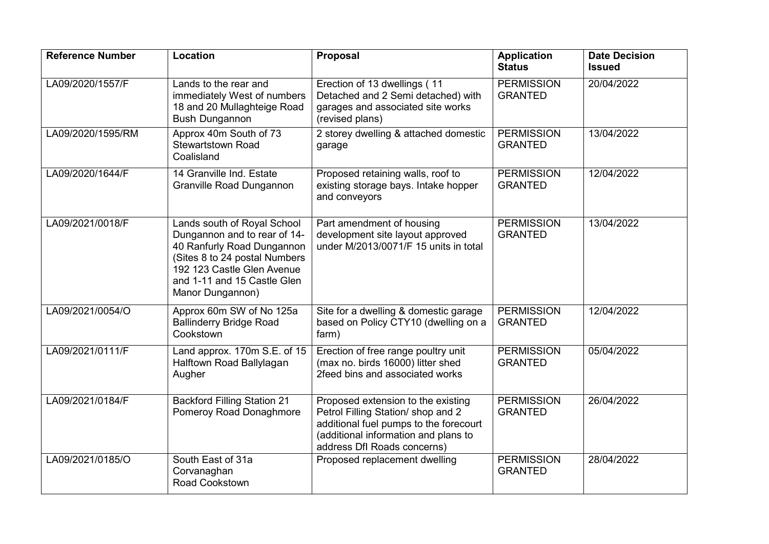| <b>Reference Number</b> | Location                                                                                                                                                                                                    | Proposal                                                                                                                                                                                  | <b>Application</b><br><b>Status</b> | <b>Date Decision</b><br><b>Issued</b> |
|-------------------------|-------------------------------------------------------------------------------------------------------------------------------------------------------------------------------------------------------------|-------------------------------------------------------------------------------------------------------------------------------------------------------------------------------------------|-------------------------------------|---------------------------------------|
| LA09/2020/1557/F        | Lands to the rear and<br>immediately West of numbers<br>18 and 20 Mullaghteige Road<br><b>Bush Dungannon</b>                                                                                                | Erection of 13 dwellings (11<br>Detached and 2 Semi detached) with<br>garages and associated site works<br>(revised plans)                                                                | <b>PERMISSION</b><br><b>GRANTED</b> | 20/04/2022                            |
| LA09/2020/1595/RM       | Approx 40m South of 73<br><b>Stewartstown Road</b><br>Coalisland                                                                                                                                            | 2 storey dwelling & attached domestic<br>garage                                                                                                                                           | <b>PERMISSION</b><br><b>GRANTED</b> | 13/04/2022                            |
| LA09/2020/1644/F        | 14 Granville Ind. Estate<br><b>Granville Road Dungannon</b>                                                                                                                                                 | Proposed retaining walls, roof to<br>existing storage bays. Intake hopper<br>and conveyors                                                                                                | <b>PERMISSION</b><br><b>GRANTED</b> | 12/04/2022                            |
| LA09/2021/0018/F        | Lands south of Royal School<br>Dungannon and to rear of 14-<br>40 Ranfurly Road Dungannon<br>(Sites 8 to 24 postal Numbers<br>192 123 Castle Glen Avenue<br>and 1-11 and 15 Castle Glen<br>Manor Dungannon) | Part amendment of housing<br>development site layout approved<br>under M/2013/0071/F 15 units in total                                                                                    | <b>PERMISSION</b><br><b>GRANTED</b> | 13/04/2022                            |
| LA09/2021/0054/O        | Approx 60m SW of No 125a<br><b>Ballinderry Bridge Road</b><br>Cookstown                                                                                                                                     | Site for a dwelling & domestic garage<br>based on Policy CTY10 (dwelling on a<br>farm)                                                                                                    | <b>PERMISSION</b><br><b>GRANTED</b> | 12/04/2022                            |
| LA09/2021/0111/F        | Land approx. 170m S.E. of 15<br>Halftown Road Ballylagan<br>Augher                                                                                                                                          | Erection of free range poultry unit<br>(max no. birds 16000) litter shed<br>2feed bins and associated works                                                                               | <b>PERMISSION</b><br><b>GRANTED</b> | 05/04/2022                            |
| LA09/2021/0184/F        | <b>Backford Filling Station 21</b><br>Pomeroy Road Donaghmore                                                                                                                                               | Proposed extension to the existing<br>Petrol Filling Station/ shop and 2<br>additional fuel pumps to the forecourt<br>(additional information and plans to<br>address Dfl Roads concerns) | <b>PERMISSION</b><br><b>GRANTED</b> | 26/04/2022                            |
| LA09/2021/0185/O        | South East of 31a<br>Corvanaghan<br>Road Cookstown                                                                                                                                                          | Proposed replacement dwelling                                                                                                                                                             | <b>PERMISSION</b><br><b>GRANTED</b> | 28/04/2022                            |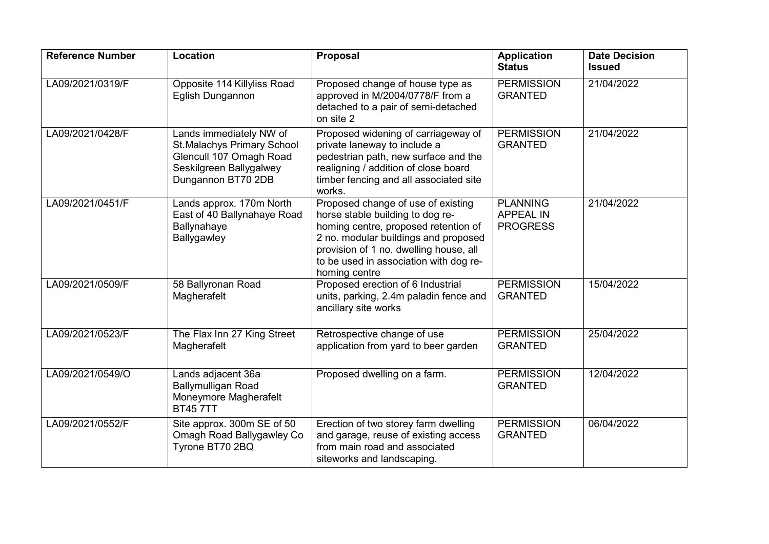| <b>Reference Number</b> | Location                                                                                                                                 | Proposal                                                                                                                                                                                                                                                    | <b>Application</b><br><b>Status</b>                    | <b>Date Decision</b><br><b>Issued</b> |
|-------------------------|------------------------------------------------------------------------------------------------------------------------------------------|-------------------------------------------------------------------------------------------------------------------------------------------------------------------------------------------------------------------------------------------------------------|--------------------------------------------------------|---------------------------------------|
| LA09/2021/0319/F        | Opposite 114 Killyliss Road<br>Eglish Dungannon                                                                                          | Proposed change of house type as<br>approved in M/2004/0778/F from a<br>detached to a pair of semi-detached<br>on site 2                                                                                                                                    | <b>PERMISSION</b><br><b>GRANTED</b>                    | 21/04/2022                            |
| LA09/2021/0428/F        | Lands immediately NW of<br><b>St.Malachys Primary School</b><br>Glencull 107 Omagh Road<br>Seskilgreen Ballygalwey<br>Dungannon BT70 2DB | Proposed widening of carriageway of<br>private laneway to include a<br>pedestrian path, new surface and the<br>realigning / addition of close board<br>timber fencing and all associated site<br>works.                                                     | <b>PERMISSION</b><br><b>GRANTED</b>                    | 21/04/2022                            |
| LA09/2021/0451/F        | Lands approx. 170m North<br>East of 40 Ballynahaye Road<br>Ballynahaye<br>Ballygawley                                                    | Proposed change of use of existing<br>horse stable building to dog re-<br>homing centre, proposed retention of<br>2 no. modular buildings and proposed<br>provision of 1 no. dwelling house, all<br>to be used in association with dog re-<br>homing centre | <b>PLANNING</b><br><b>APPEAL IN</b><br><b>PROGRESS</b> | 21/04/2022                            |
| LA09/2021/0509/F        | 58 Ballyronan Road<br>Magherafelt                                                                                                        | Proposed erection of 6 Industrial<br>units, parking, 2.4m paladin fence and<br>ancillary site works                                                                                                                                                         | <b>PERMISSION</b><br><b>GRANTED</b>                    | 15/04/2022                            |
| LA09/2021/0523/F        | The Flax Inn 27 King Street<br>Magherafelt                                                                                               | Retrospective change of use<br>application from yard to beer garden                                                                                                                                                                                         | <b>PERMISSION</b><br><b>GRANTED</b>                    | 25/04/2022                            |
| LA09/2021/0549/O        | Lands adjacent 36a<br><b>Ballymulligan Road</b><br>Moneymore Magherafelt<br><b>BT457TT</b>                                               | Proposed dwelling on a farm.                                                                                                                                                                                                                                | <b>PERMISSION</b><br><b>GRANTED</b>                    | 12/04/2022                            |
| LA09/2021/0552/F        | Site approx. 300m SE of 50<br>Omagh Road Ballygawley Co<br>Tyrone BT70 2BQ                                                               | Erection of two storey farm dwelling<br>and garage, reuse of existing access<br>from main road and associated<br>siteworks and landscaping.                                                                                                                 | <b>PERMISSION</b><br><b>GRANTED</b>                    | 06/04/2022                            |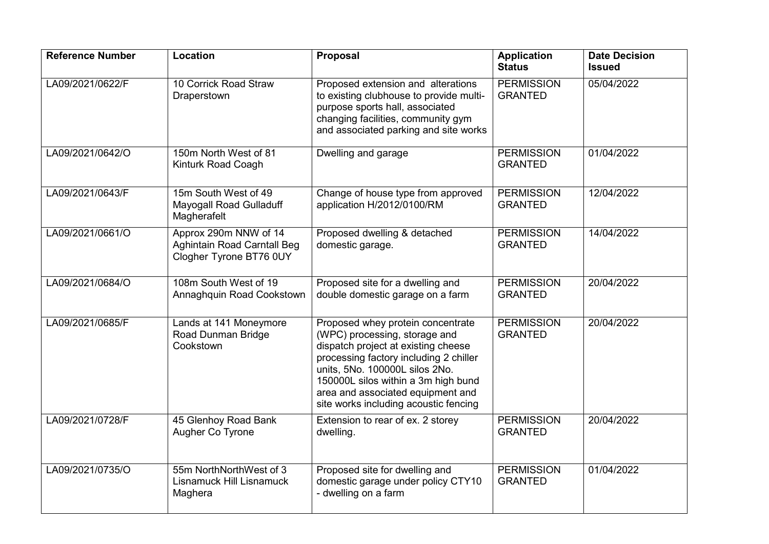| <b>Reference Number</b> | Location                                                                               | Proposal                                                                                                                                                                                                                                                                                                   | <b>Application</b><br><b>Status</b> | <b>Date Decision</b><br><b>Issued</b> |
|-------------------------|----------------------------------------------------------------------------------------|------------------------------------------------------------------------------------------------------------------------------------------------------------------------------------------------------------------------------------------------------------------------------------------------------------|-------------------------------------|---------------------------------------|
| LA09/2021/0622/F        | 10 Corrick Road Straw<br>Draperstown                                                   | Proposed extension and alterations<br>to existing clubhouse to provide multi-<br>purpose sports hall, associated<br>changing facilities, community gym<br>and associated parking and site works                                                                                                            | <b>PERMISSION</b><br><b>GRANTED</b> | 05/04/2022                            |
| LA09/2021/0642/O        | 150m North West of 81<br>Kinturk Road Coagh                                            | Dwelling and garage                                                                                                                                                                                                                                                                                        | <b>PERMISSION</b><br><b>GRANTED</b> | 01/04/2022                            |
| LA09/2021/0643/F        | 15m South West of 49<br>Mayogall Road Gulladuff<br>Magherafelt                         | Change of house type from approved<br>application H/2012/0100/RM                                                                                                                                                                                                                                           | <b>PERMISSION</b><br><b>GRANTED</b> | 12/04/2022                            |
| LA09/2021/0661/O        | Approx 290m NNW of 14<br><b>Aghintain Road Carntall Beg</b><br>Clogher Tyrone BT76 0UY | Proposed dwelling & detached<br>domestic garage.                                                                                                                                                                                                                                                           | <b>PERMISSION</b><br><b>GRANTED</b> | 14/04/2022                            |
| LA09/2021/0684/O        | 108m South West of 19<br>Annaghquin Road Cookstown                                     | Proposed site for a dwelling and<br>double domestic garage on a farm                                                                                                                                                                                                                                       | <b>PERMISSION</b><br><b>GRANTED</b> | 20/04/2022                            |
| LA09/2021/0685/F        | Lands at 141 Moneymore<br>Road Dunman Bridge<br>Cookstown                              | Proposed whey protein concentrate<br>(WPC) processing, storage and<br>dispatch project at existing cheese<br>processing factory including 2 chiller<br>units, 5No. 100000L silos 2No.<br>150000L silos within a 3m high bund<br>area and associated equipment and<br>site works including acoustic fencing | <b>PERMISSION</b><br><b>GRANTED</b> | 20/04/2022                            |
| LA09/2021/0728/F        | 45 Glenhoy Road Bank<br>Augher Co Tyrone                                               | Extension to rear of ex. 2 storey<br>dwelling.                                                                                                                                                                                                                                                             | <b>PERMISSION</b><br><b>GRANTED</b> | 20/04/2022                            |
| LA09/2021/0735/O        | 55m NorthNorthWest of 3<br>Lisnamuck Hill Lisnamuck<br>Maghera                         | Proposed site for dwelling and<br>domestic garage under policy CTY10<br>- dwelling on a farm                                                                                                                                                                                                               | <b>PERMISSION</b><br><b>GRANTED</b> | 01/04/2022                            |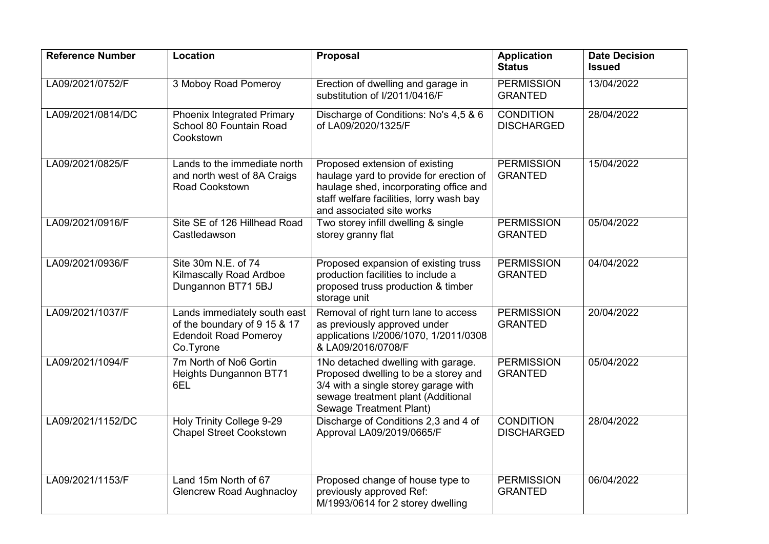| <b>Reference Number</b> | <b>Location</b>                                                                                           | <b>Proposal</b>                                                                                                                                                                              | <b>Application</b><br><b>Status</b>   | <b>Date Decision</b><br><b>Issued</b> |
|-------------------------|-----------------------------------------------------------------------------------------------------------|----------------------------------------------------------------------------------------------------------------------------------------------------------------------------------------------|---------------------------------------|---------------------------------------|
| LA09/2021/0752/F        | 3 Moboy Road Pomeroy                                                                                      | Erection of dwelling and garage in<br>substitution of I/2011/0416/F                                                                                                                          | <b>PERMISSION</b><br><b>GRANTED</b>   | 13/04/2022                            |
| LA09/2021/0814/DC       | <b>Phoenix Integrated Primary</b><br>School 80 Fountain Road<br>Cookstown                                 | Discharge of Conditions: No's 4,5 & 6<br>of LA09/2020/1325/F                                                                                                                                 | <b>CONDITION</b><br><b>DISCHARGED</b> | 28/04/2022                            |
| LA09/2021/0825/F        | Lands to the immediate north<br>and north west of 8A Craigs<br>Road Cookstown                             | Proposed extension of existing<br>haulage yard to provide for erection of<br>haulage shed, incorporating office and<br>staff welfare facilities, lorry wash bay<br>and associated site works | <b>PERMISSION</b><br><b>GRANTED</b>   | 15/04/2022                            |
| LA09/2021/0916/F        | Site SE of 126 Hillhead Road<br>Castledawson                                                              | Two storey infill dwelling & single<br>storey granny flat                                                                                                                                    | <b>PERMISSION</b><br><b>GRANTED</b>   | 05/04/2022                            |
| LA09/2021/0936/F        | Site 30m N.E. of 74<br><b>Kilmascally Road Ardboe</b><br>Dungannon BT71 5BJ                               | Proposed expansion of existing truss<br>production facilities to include a<br>proposed truss production & timber<br>storage unit                                                             | <b>PERMISSION</b><br><b>GRANTED</b>   | 04/04/2022                            |
| LA09/2021/1037/F        | Lands immediately south east<br>of the boundary of 9 15 & 17<br><b>Edendoit Road Pomeroy</b><br>Co.Tyrone | Removal of right turn lane to access<br>as previously approved under<br>applications I/2006/1070, 1/2011/0308<br>& LA09/2016/0708/F                                                          | <b>PERMISSION</b><br><b>GRANTED</b>   | 20/04/2022                            |
| LA09/2021/1094/F        | 7m North of No6 Gortin<br><b>Heights Dungannon BT71</b><br>6EL                                            | 1No detached dwelling with garage.<br>Proposed dwelling to be a storey and<br>3/4 with a single storey garage with<br>sewage treatment plant (Additional<br>Sewage Treatment Plant)          | <b>PERMISSION</b><br><b>GRANTED</b>   | 05/04/2022                            |
| LA09/2021/1152/DC       | Holy Trinity College 9-29<br><b>Chapel Street Cookstown</b>                                               | Discharge of Conditions 2,3 and 4 of<br>Approval LA09/2019/0665/F                                                                                                                            | <b>CONDITION</b><br><b>DISCHARGED</b> | 28/04/2022                            |
| LA09/2021/1153/F        | Land 15m North of 67<br><b>Glencrew Road Aughnacloy</b>                                                   | Proposed change of house type to<br>previously approved Ref:<br>M/1993/0614 for 2 storey dwelling                                                                                            | <b>PERMISSION</b><br><b>GRANTED</b>   | 06/04/2022                            |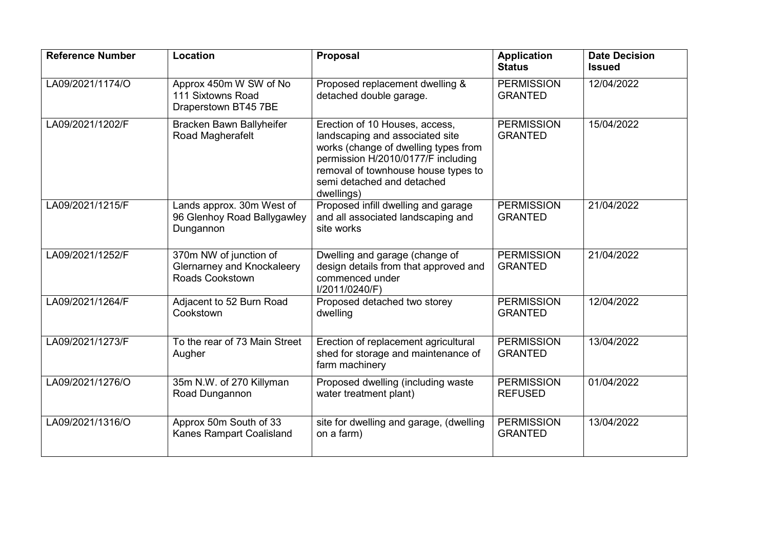| <b>Reference Number</b> | Location                                                                       | Proposal                                                                                                                                                                                                                           | <b>Application</b><br><b>Status</b> | <b>Date Decision</b><br><b>Issued</b> |
|-------------------------|--------------------------------------------------------------------------------|------------------------------------------------------------------------------------------------------------------------------------------------------------------------------------------------------------------------------------|-------------------------------------|---------------------------------------|
| LA09/2021/1174/O        | Approx 450m W SW of No<br>111 Sixtowns Road<br>Draperstown BT45 7BE            | Proposed replacement dwelling &<br>detached double garage.                                                                                                                                                                         | <b>PERMISSION</b><br><b>GRANTED</b> | 12/04/2022                            |
| LA09/2021/1202/F        | Bracken Bawn Ballyheifer<br>Road Magherafelt                                   | Erection of 10 Houses, access,<br>landscaping and associated site<br>works (change of dwelling types from<br>permission H/2010/0177/F including<br>removal of townhouse house types to<br>semi detached and detached<br>dwellings) | <b>PERMISSION</b><br><b>GRANTED</b> | 15/04/2022                            |
| LA09/2021/1215/F        | Lands approx. 30m West of<br>96 Glenhoy Road Ballygawley<br>Dungannon          | Proposed infill dwelling and garage<br>and all associated landscaping and<br>site works                                                                                                                                            | <b>PERMISSION</b><br><b>GRANTED</b> | 21/04/2022                            |
| LA09/2021/1252/F        | 370m NW of junction of<br><b>Glernarney and Knockaleery</b><br>Roads Cookstown | Dwelling and garage (change of<br>design details from that approved and<br>commenced under<br>I/2011/0240/F)                                                                                                                       | <b>PERMISSION</b><br><b>GRANTED</b> | 21/04/2022                            |
| LA09/2021/1264/F        | Adjacent to 52 Burn Road<br>Cookstown                                          | Proposed detached two storey<br>dwelling                                                                                                                                                                                           | <b>PERMISSION</b><br><b>GRANTED</b> | 12/04/2022                            |
| LA09/2021/1273/F        | To the rear of 73 Main Street<br>Augher                                        | Erection of replacement agricultural<br>shed for storage and maintenance of<br>farm machinery                                                                                                                                      | <b>PERMISSION</b><br><b>GRANTED</b> | 13/04/2022                            |
| LA09/2021/1276/O        | 35m N.W. of 270 Killyman<br>Road Dungannon                                     | Proposed dwelling (including waste<br>water treatment plant)                                                                                                                                                                       | <b>PERMISSION</b><br><b>REFUSED</b> | 01/04/2022                            |
| LA09/2021/1316/O        | Approx 50m South of 33<br><b>Kanes Rampart Coalisland</b>                      | site for dwelling and garage, (dwelling<br>on a farm)                                                                                                                                                                              | <b>PERMISSION</b><br><b>GRANTED</b> | 13/04/2022                            |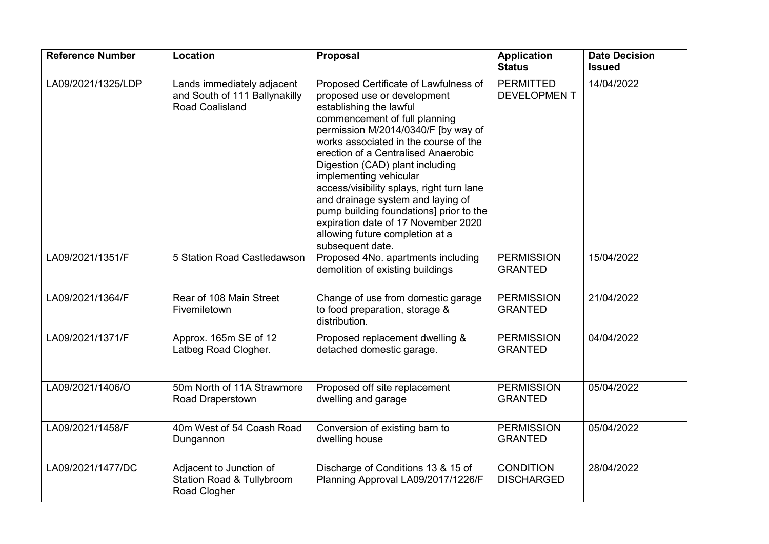| <b>Reference Number</b> | Location                                                                        | Proposal                                                                                                                                                                                                                                                                                                                                                                                                                                                                                                                                        | <b>Application</b><br><b>Status</b>    | <b>Date Decision</b><br><b>Issued</b> |
|-------------------------|---------------------------------------------------------------------------------|-------------------------------------------------------------------------------------------------------------------------------------------------------------------------------------------------------------------------------------------------------------------------------------------------------------------------------------------------------------------------------------------------------------------------------------------------------------------------------------------------------------------------------------------------|----------------------------------------|---------------------------------------|
| LA09/2021/1325/LDP      | Lands immediately adjacent<br>and South of 111 Ballynakilly<br>Road Coalisland  | Proposed Certificate of Lawfulness of<br>proposed use or development<br>establishing the lawful<br>commencement of full planning<br>permission M/2014/0340/F [by way of<br>works associated in the course of the<br>erection of a Centralised Anaerobic<br>Digestion (CAD) plant including<br>implementing vehicular<br>access/visibility splays, right turn lane<br>and drainage system and laying of<br>pump building foundations] prior to the<br>expiration date of 17 November 2020<br>allowing future completion at a<br>subsequent date. | <b>PERMITTED</b><br><b>DEVELOPMENT</b> | 14/04/2022                            |
| LA09/2021/1351/F        | 5 Station Road Castledawson                                                     | Proposed 4No. apartments including<br>demolition of existing buildings                                                                                                                                                                                                                                                                                                                                                                                                                                                                          | <b>PERMISSION</b><br><b>GRANTED</b>    | 15/04/2022                            |
| LA09/2021/1364/F        | Rear of 108 Main Street<br>Fivemiletown                                         | Change of use from domestic garage<br>to food preparation, storage &<br>distribution.                                                                                                                                                                                                                                                                                                                                                                                                                                                           | <b>PERMISSION</b><br><b>GRANTED</b>    | 21/04/2022                            |
| LA09/2021/1371/F        | Approx. 165m SE of 12<br>Latbeg Road Clogher.                                   | Proposed replacement dwelling &<br>detached domestic garage.                                                                                                                                                                                                                                                                                                                                                                                                                                                                                    | <b>PERMISSION</b><br><b>GRANTED</b>    | 04/04/2022                            |
| LA09/2021/1406/O        | 50m North of 11A Strawmore<br>Road Draperstown                                  | Proposed off site replacement<br>dwelling and garage                                                                                                                                                                                                                                                                                                                                                                                                                                                                                            | <b>PERMISSION</b><br><b>GRANTED</b>    | 05/04/2022                            |
| LA09/2021/1458/F        | 40m West of 54 Coash Road<br>Dungannon                                          | Conversion of existing barn to<br>dwelling house                                                                                                                                                                                                                                                                                                                                                                                                                                                                                                | <b>PERMISSION</b><br><b>GRANTED</b>    | 05/04/2022                            |
| LA09/2021/1477/DC       | Adjacent to Junction of<br><b>Station Road &amp; Tullybroom</b><br>Road Clogher | Discharge of Conditions 13 & 15 of<br>Planning Approval LA09/2017/1226/F                                                                                                                                                                                                                                                                                                                                                                                                                                                                        | <b>CONDITION</b><br><b>DISCHARGED</b>  | 28/04/2022                            |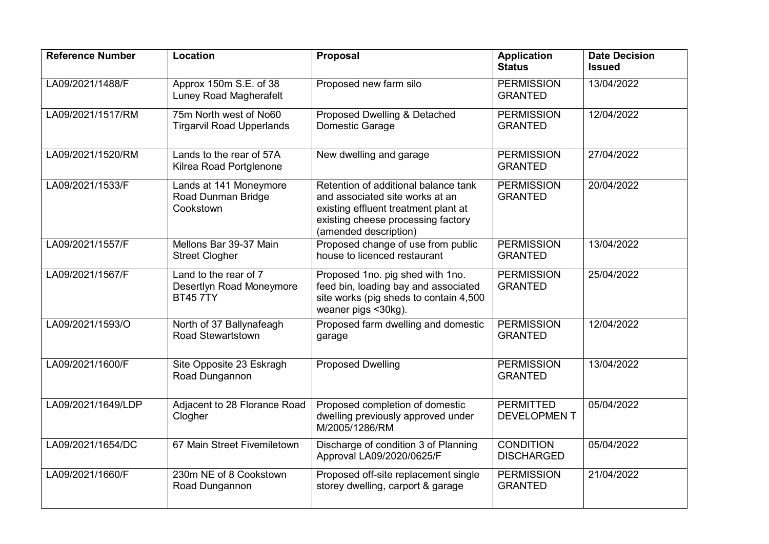| <b>Reference Number</b> | Location                                                             | Proposal                                                                                                                                                                       | <b>Application</b><br><b>Status</b>    | <b>Date Decision</b><br><b>Issued</b> |
|-------------------------|----------------------------------------------------------------------|--------------------------------------------------------------------------------------------------------------------------------------------------------------------------------|----------------------------------------|---------------------------------------|
| LA09/2021/1488/F        | Approx 150m S.E. of 38<br>Luney Road Magherafelt                     | Proposed new farm silo                                                                                                                                                         | <b>PERMISSION</b><br><b>GRANTED</b>    | 13/04/2022                            |
| LA09/2021/1517/RM       | 75m North west of No60<br><b>Tirgarvil Road Upperlands</b>           | Proposed Dwelling & Detached<br>Domestic Garage                                                                                                                                | <b>PERMISSION</b><br><b>GRANTED</b>    | 12/04/2022                            |
| LA09/2021/1520/RM       | Lands to the rear of 57A<br>Kilrea Road Portglenone                  | New dwelling and garage                                                                                                                                                        | <b>PERMISSION</b><br><b>GRANTED</b>    | 27/04/2022                            |
| LA09/2021/1533/F        | Lands at 141 Moneymore<br>Road Dunman Bridge<br>Cookstown            | Retention of additional balance tank<br>and associated site works at an<br>existing effluent treatment plant at<br>existing cheese processing factory<br>(amended description) | <b>PERMISSION</b><br><b>GRANTED</b>    | 20/04/2022                            |
| LA09/2021/1557/F        | Mellons Bar 39-37 Main<br><b>Street Clogher</b>                      | Proposed change of use from public<br>house to licenced restaurant                                                                                                             | <b>PERMISSION</b><br><b>GRANTED</b>    | 13/04/2022                            |
| LA09/2021/1567/F        | Land to the rear of 7<br>Desertlyn Road Moneymore<br><b>BT45 7TY</b> | Proposed 1no. pig shed with 1no.<br>feed bin, loading bay and associated<br>site works (pig sheds to contain 4,500<br>weaner pigs <30kg).                                      | <b>PERMISSION</b><br><b>GRANTED</b>    | 25/04/2022                            |
| LA09/2021/1593/O        | North of 37 Ballynafeagh<br>Road Stewartstown                        | Proposed farm dwelling and domestic<br>garage                                                                                                                                  | <b>PERMISSION</b><br><b>GRANTED</b>    | 12/04/2022                            |
| LA09/2021/1600/F        | Site Opposite 23 Eskragh<br>Road Dungannon                           | <b>Proposed Dwelling</b>                                                                                                                                                       | <b>PERMISSION</b><br><b>GRANTED</b>    | 13/04/2022                            |
| LA09/2021/1649/LDP      | Adjacent to 28 Florance Road<br>Clogher                              | Proposed completion of domestic<br>dwelling previously approved under<br>M/2005/1286/RM                                                                                        | <b>PERMITTED</b><br><b>DEVELOPMENT</b> | 05/04/2022                            |
| LA09/2021/1654/DC       | 67 Main Street Fivemiletown                                          | Discharge of condition 3 of Planning<br>Approval LA09/2020/0625/F                                                                                                              | <b>CONDITION</b><br><b>DISCHARGED</b>  | 05/04/2022                            |
| LA09/2021/1660/F        | 230m NE of 8 Cookstown<br>Road Dungannon                             | Proposed off-site replacement single<br>storey dwelling, carport & garage                                                                                                      | <b>PERMISSION</b><br><b>GRANTED</b>    | 21/04/2022                            |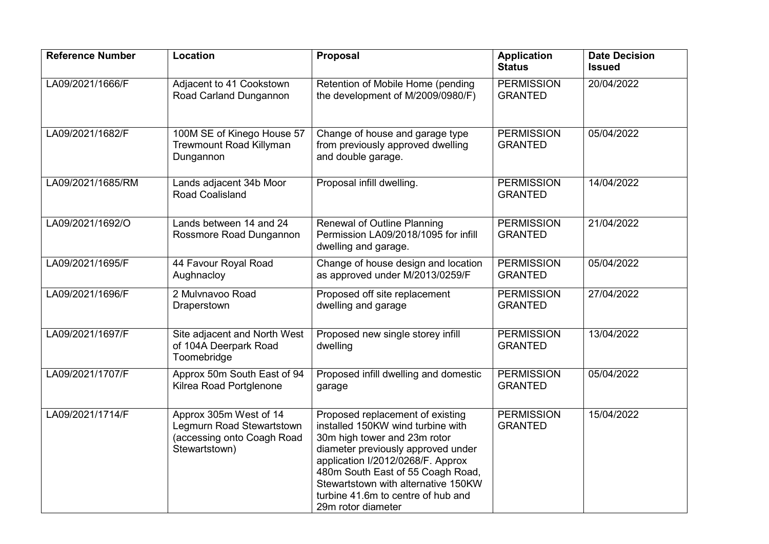| <b>Reference Number</b> | Location                                                                                           | Proposal                                                                                                                                                                                                                                                                                                                 | <b>Application</b><br><b>Status</b> | <b>Date Decision</b><br><b>Issued</b> |
|-------------------------|----------------------------------------------------------------------------------------------------|--------------------------------------------------------------------------------------------------------------------------------------------------------------------------------------------------------------------------------------------------------------------------------------------------------------------------|-------------------------------------|---------------------------------------|
| LA09/2021/1666/F        | Adjacent to 41 Cookstown<br>Road Carland Dungannon                                                 | Retention of Mobile Home (pending<br>the development of M/2009/0980/F)                                                                                                                                                                                                                                                   | <b>PERMISSION</b><br><b>GRANTED</b> | 20/04/2022                            |
| LA09/2021/1682/F        | 100M SE of Kinego House 57<br><b>Trewmount Road Killyman</b><br>Dungannon                          | Change of house and garage type<br>from previously approved dwelling<br>and double garage.                                                                                                                                                                                                                               | <b>PERMISSION</b><br><b>GRANTED</b> | 05/04/2022                            |
| LA09/2021/1685/RM       | Lands adjacent 34b Moor<br>Road Coalisland                                                         | Proposal infill dwelling.                                                                                                                                                                                                                                                                                                | <b>PERMISSION</b><br><b>GRANTED</b> | 14/04/2022                            |
| LA09/2021/1692/O        | Lands between 14 and 24<br>Rossmore Road Dungannon                                                 | <b>Renewal of Outline Planning</b><br>Permission LA09/2018/1095 for infill<br>dwelling and garage.                                                                                                                                                                                                                       | <b>PERMISSION</b><br><b>GRANTED</b> | 21/04/2022                            |
| LA09/2021/1695/F        | 44 Favour Royal Road<br>Aughnacloy                                                                 | Change of house design and location<br>as approved under M/2013/0259/F                                                                                                                                                                                                                                                   | <b>PERMISSION</b><br><b>GRANTED</b> | 05/04/2022                            |
| LA09/2021/1696/F        | 2 Mulvnavoo Road<br>Draperstown                                                                    | Proposed off site replacement<br>dwelling and garage                                                                                                                                                                                                                                                                     | <b>PERMISSION</b><br><b>GRANTED</b> | 27/04/2022                            |
| LA09/2021/1697/F        | Site adjacent and North West<br>of 104A Deerpark Road<br>Toomebridge                               | Proposed new single storey infill<br>dwelling                                                                                                                                                                                                                                                                            | <b>PERMISSION</b><br><b>GRANTED</b> | 13/04/2022                            |
| LA09/2021/1707/F        | Approx 50m South East of 94<br>Kilrea Road Portglenone                                             | Proposed infill dwelling and domestic<br>garage                                                                                                                                                                                                                                                                          | <b>PERMISSION</b><br><b>GRANTED</b> | 05/04/2022                            |
| LA09/2021/1714/F        | Approx 305m West of 14<br>Legmurn Road Stewartstown<br>(accessing onto Coagh Road<br>Stewartstown) | Proposed replacement of existing<br>installed 150KW wind turbine with<br>30m high tower and 23m rotor<br>diameter previously approved under<br>application I/2012/0268/F. Approx<br>480m South East of 55 Coagh Road,<br>Stewartstown with alternative 150KW<br>turbine 41.6m to centre of hub and<br>29m rotor diameter | <b>PERMISSION</b><br><b>GRANTED</b> | 15/04/2022                            |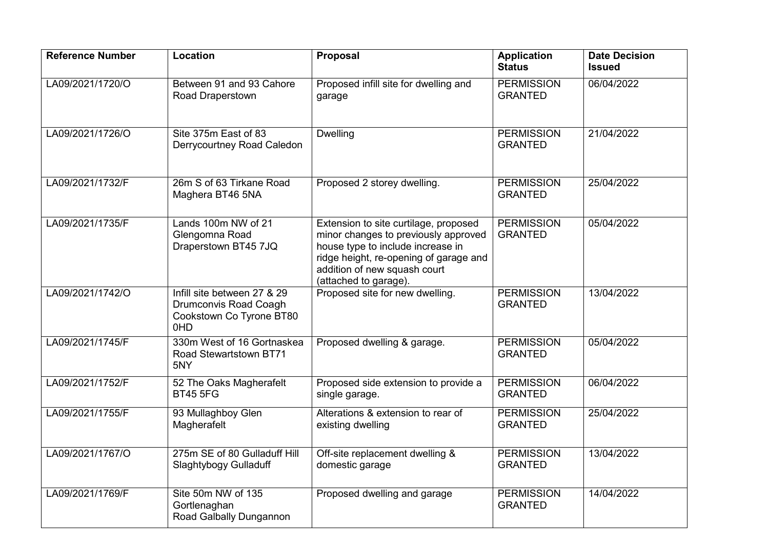| <b>Reference Number</b> | Location                                                                                | Proposal                                                                                                                                                                                                              | <b>Application</b><br><b>Status</b> | <b>Date Decision</b><br><b>Issued</b> |
|-------------------------|-----------------------------------------------------------------------------------------|-----------------------------------------------------------------------------------------------------------------------------------------------------------------------------------------------------------------------|-------------------------------------|---------------------------------------|
| LA09/2021/1720/O        | Between 91 and 93 Cahore<br>Road Draperstown                                            | Proposed infill site for dwelling and<br>garage                                                                                                                                                                       | <b>PERMISSION</b><br><b>GRANTED</b> | 06/04/2022                            |
| LA09/2021/1726/O        | Site 375m East of 83<br>Derrycourtney Road Caledon                                      | <b>Dwelling</b>                                                                                                                                                                                                       | <b>PERMISSION</b><br><b>GRANTED</b> | 21/04/2022                            |
| LA09/2021/1732/F        | 26m S of 63 Tirkane Road<br>Maghera BT46 5NA                                            | Proposed 2 storey dwelling.                                                                                                                                                                                           | <b>PERMISSION</b><br><b>GRANTED</b> | 25/04/2022                            |
| LA09/2021/1735/F        | Lands 100m NW of 21<br>Glengomna Road<br>Draperstown BT45 7JQ                           | Extension to site curtilage, proposed<br>minor changes to previously approved<br>house type to include increase in<br>ridge height, re-opening of garage and<br>addition of new squash court<br>(attached to garage). | <b>PERMISSION</b><br><b>GRANTED</b> | 05/04/2022                            |
| LA09/2021/1742/O        | Infill site between 27 & 29<br>Drumconvis Road Coagh<br>Cookstown Co Tyrone BT80<br>0HD | Proposed site for new dwelling.                                                                                                                                                                                       | <b>PERMISSION</b><br><b>GRANTED</b> | 13/04/2022                            |
| LA09/2021/1745/F        | 330m West of 16 Gortnaskea<br>Road Stewartstown BT71<br>5NY                             | Proposed dwelling & garage.                                                                                                                                                                                           | <b>PERMISSION</b><br><b>GRANTED</b> | 05/04/2022                            |
| LA09/2021/1752/F        | 52 The Oaks Magherafelt<br><b>BT45 5FG</b>                                              | Proposed side extension to provide a<br>single garage.                                                                                                                                                                | <b>PERMISSION</b><br><b>GRANTED</b> | 06/04/2022                            |
| LA09/2021/1755/F        | 93 Mullaghboy Glen<br>Magherafelt                                                       | Alterations & extension to rear of<br>existing dwelling                                                                                                                                                               | <b>PERMISSION</b><br><b>GRANTED</b> | 25/04/2022                            |
| LA09/2021/1767/O        | 275m SE of 80 Gulladuff Hill<br>Slaghtybogy Gulladuff                                   | Off-site replacement dwelling &<br>domestic garage                                                                                                                                                                    | <b>PERMISSION</b><br><b>GRANTED</b> | 13/04/2022                            |
| LA09/2021/1769/F        | Site 50m NW of 135<br>Gortlenaghan<br>Road Galbally Dungannon                           | Proposed dwelling and garage                                                                                                                                                                                          | <b>PERMISSION</b><br><b>GRANTED</b> | 14/04/2022                            |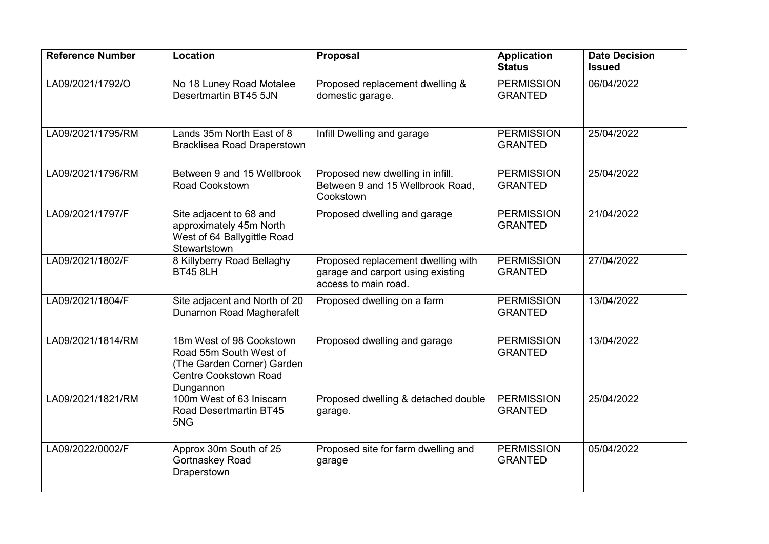| <b>Reference Number</b> | Location                                                                                                                      | Proposal                                                                                        | <b>Application</b><br><b>Status</b> | <b>Date Decision</b><br><b>Issued</b> |
|-------------------------|-------------------------------------------------------------------------------------------------------------------------------|-------------------------------------------------------------------------------------------------|-------------------------------------|---------------------------------------|
| LA09/2021/1792/O        | No 18 Luney Road Motalee<br>Desertmartin BT45 5JN                                                                             | Proposed replacement dwelling &<br>domestic garage.                                             | <b>PERMISSION</b><br><b>GRANTED</b> | 06/04/2022                            |
| LA09/2021/1795/RM       | Lands 35m North East of 8<br><b>Bracklisea Road Draperstown</b>                                                               | Infill Dwelling and garage                                                                      | <b>PERMISSION</b><br><b>GRANTED</b> | 25/04/2022                            |
| LA09/2021/1796/RM       | Between 9 and 15 Wellbrook<br><b>Road Cookstown</b>                                                                           | Proposed new dwelling in infill.<br>Between 9 and 15 Wellbrook Road,<br>Cookstown               | <b>PERMISSION</b><br><b>GRANTED</b> | 25/04/2022                            |
| LA09/2021/1797/F        | Site adjacent to 68 and<br>approximately 45m North<br>West of 64 Ballygittle Road<br>Stewartstown                             | Proposed dwelling and garage                                                                    | <b>PERMISSION</b><br><b>GRANTED</b> | 21/04/2022                            |
| LA09/2021/1802/F        | 8 Killyberry Road Bellaghy<br><b>BT45 8LH</b>                                                                                 | Proposed replacement dwelling with<br>garage and carport using existing<br>access to main road. | <b>PERMISSION</b><br><b>GRANTED</b> | 27/04/2022                            |
| LA09/2021/1804/F        | Site adjacent and North of 20<br>Dunarnon Road Magherafelt                                                                    | Proposed dwelling on a farm                                                                     | <b>PERMISSION</b><br><b>GRANTED</b> | 13/04/2022                            |
| LA09/2021/1814/RM       | 18m West of 98 Cookstown<br>Road 55m South West of<br>(The Garden Corner) Garden<br><b>Centre Cookstown Road</b><br>Dungannon | Proposed dwelling and garage                                                                    | <b>PERMISSION</b><br><b>GRANTED</b> | 13/04/2022                            |
| LA09/2021/1821/RM       | 100m West of 63 Iniscarn<br>Road Desertmartin BT45<br>5NG                                                                     | Proposed dwelling & detached double<br>garage.                                                  | <b>PERMISSION</b><br><b>GRANTED</b> | 25/04/2022                            |
| LA09/2022/0002/F        | Approx 30m South of 25<br>Gortnaskey Road<br>Draperstown                                                                      | Proposed site for farm dwelling and<br>garage                                                   | <b>PERMISSION</b><br><b>GRANTED</b> | 05/04/2022                            |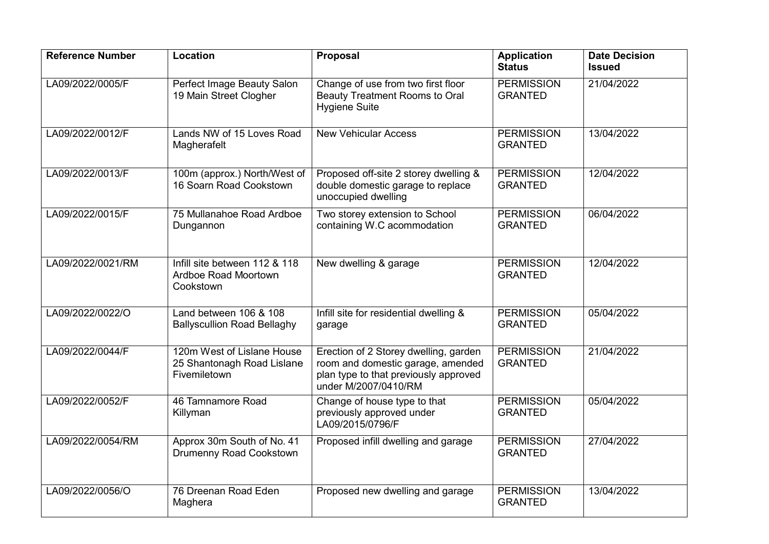| <b>Reference Number</b> | <b>Location</b>                                                          | <b>Proposal</b>                                                                                                                             | <b>Application</b><br><b>Status</b> | <b>Date Decision</b><br><b>Issued</b> |
|-------------------------|--------------------------------------------------------------------------|---------------------------------------------------------------------------------------------------------------------------------------------|-------------------------------------|---------------------------------------|
| LA09/2022/0005/F        | Perfect Image Beauty Salon<br>19 Main Street Clogher                     | Change of use from two first floor<br>Beauty Treatment Rooms to Oral<br><b>Hygiene Suite</b>                                                | <b>PERMISSION</b><br><b>GRANTED</b> | 21/04/2022                            |
| LA09/2022/0012/F        | Lands NW of 15 Loves Road<br>Magherafelt                                 | <b>New Vehicular Access</b>                                                                                                                 | <b>PERMISSION</b><br><b>GRANTED</b> | 13/04/2022                            |
| LA09/2022/0013/F        | 100m (approx.) North/West of<br>16 Soarn Road Cookstown                  | Proposed off-site 2 storey dwelling &<br>double domestic garage to replace<br>unoccupied dwelling                                           | <b>PERMISSION</b><br><b>GRANTED</b> | 12/04/2022                            |
| LA09/2022/0015/F        | 75 Mullanahoe Road Ardboe<br>Dungannon                                   | Two storey extension to School<br>containing W.C acommodation                                                                               | <b>PERMISSION</b><br><b>GRANTED</b> | 06/04/2022                            |
| LA09/2022/0021/RM       | Infill site between 112 & 118<br>Ardboe Road Moortown<br>Cookstown       | New dwelling & garage                                                                                                                       | <b>PERMISSION</b><br><b>GRANTED</b> | 12/04/2022                            |
| LA09/2022/0022/O        | Land between 106 & 108<br><b>Ballyscullion Road Bellaghy</b>             | Infill site for residential dwelling &<br>garage                                                                                            | <b>PERMISSION</b><br><b>GRANTED</b> | 05/04/2022                            |
| LA09/2022/0044/F        | 120m West of Lislane House<br>25 Shantonagh Road Lislane<br>Fivemiletown | Erection of 2 Storey dwelling, garden<br>room and domestic garage, amended<br>plan type to that previously approved<br>under M/2007/0410/RM | <b>PERMISSION</b><br><b>GRANTED</b> | 21/04/2022                            |
| LA09/2022/0052/F        | 46 Tamnamore Road<br>Killyman                                            | Change of house type to that<br>previously approved under<br>LA09/2015/0796/F                                                               | <b>PERMISSION</b><br><b>GRANTED</b> | 05/04/2022                            |
| LA09/2022/0054/RM       | Approx 30m South of No. 41<br>Drumenny Road Cookstown                    | Proposed infill dwelling and garage                                                                                                         | <b>PERMISSION</b><br><b>GRANTED</b> | 27/04/2022                            |
| LA09/2022/0056/O        | 76 Dreenan Road Eden<br>Maghera                                          | Proposed new dwelling and garage                                                                                                            | <b>PERMISSION</b><br><b>GRANTED</b> | 13/04/2022                            |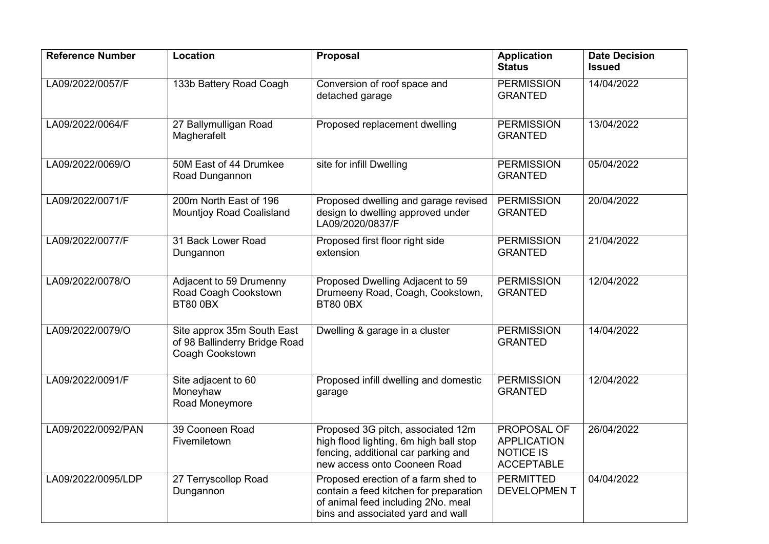| <b>Reference Number</b> | Location                                                                       | Proposal                                                                                                                                                 | <b>Application</b><br><b>Status</b>                                        | <b>Date Decision</b><br><b>Issued</b> |
|-------------------------|--------------------------------------------------------------------------------|----------------------------------------------------------------------------------------------------------------------------------------------------------|----------------------------------------------------------------------------|---------------------------------------|
| LA09/2022/0057/F        | 133b Battery Road Coagh                                                        | Conversion of roof space and<br>detached garage                                                                                                          | <b>PERMISSION</b><br><b>GRANTED</b>                                        | 14/04/2022                            |
| LA09/2022/0064/F        | 27 Ballymulligan Road<br>Magherafelt                                           | Proposed replacement dwelling                                                                                                                            | <b>PERMISSION</b><br><b>GRANTED</b>                                        | 13/04/2022                            |
| LA09/2022/0069/O        | 50M East of 44 Drumkee<br>Road Dungannon                                       | site for infill Dwelling                                                                                                                                 | <b>PERMISSION</b><br><b>GRANTED</b>                                        | 05/04/2022                            |
| LA09/2022/0071/F        | 200m North East of 196<br><b>Mountjoy Road Coalisland</b>                      | Proposed dwelling and garage revised<br>design to dwelling approved under<br>LA09/2020/0837/F                                                            | <b>PERMISSION</b><br><b>GRANTED</b>                                        | 20/04/2022                            |
| LA09/2022/0077/F        | 31 Back Lower Road<br>Dungannon                                                | Proposed first floor right side<br>extension                                                                                                             | <b>PERMISSION</b><br><b>GRANTED</b>                                        | 21/04/2022                            |
| LA09/2022/0078/O        | Adjacent to 59 Drumenny<br>Road Coagh Cookstown<br><b>BT80 0BX</b>             | Proposed Dwelling Adjacent to 59<br>Drumeeny Road, Coagh, Cookstown,<br><b>BT80 0BX</b>                                                                  | <b>PERMISSION</b><br><b>GRANTED</b>                                        | 12/04/2022                            |
| LA09/2022/0079/O        | Site approx 35m South East<br>of 98 Ballinderry Bridge Road<br>Coagh Cookstown | Dwelling & garage in a cluster                                                                                                                           | <b>PERMISSION</b><br><b>GRANTED</b>                                        | 14/04/2022                            |
| LA09/2022/0091/F        | Site adjacent to 60<br>Moneyhaw<br>Road Moneymore                              | Proposed infill dwelling and domestic<br>garage                                                                                                          | <b>PERMISSION</b><br><b>GRANTED</b>                                        | 12/04/2022                            |
| LA09/2022/0092/PAN      | 39 Cooneen Road<br>Fivemiletown                                                | Proposed 3G pitch, associated 12m<br>high flood lighting, 6m high ball stop<br>fencing, additional car parking and<br>new access onto Cooneen Road       | PROPOSAL OF<br><b>APPLICATION</b><br><b>NOTICE IS</b><br><b>ACCEPTABLE</b> | 26/04/2022                            |
| LA09/2022/0095/LDP      | 27 Terryscollop Road<br>Dungannon                                              | Proposed erection of a farm shed to<br>contain a feed kitchen for preparation<br>of animal feed including 2No. meal<br>bins and associated yard and wall | <b>PERMITTED</b><br><b>DEVELOPMENT</b>                                     | 04/04/2022                            |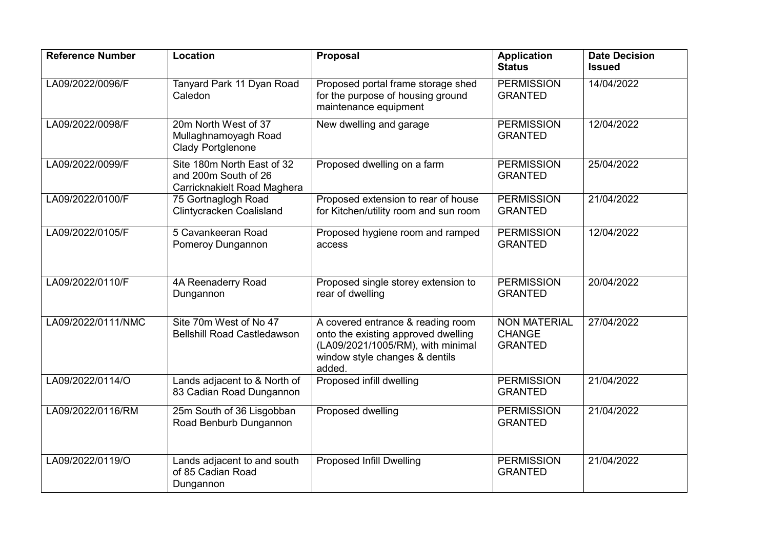| <b>Reference Number</b> | <b>Location</b>                                                                   | Proposal                                                                                                                                                  | <b>Application</b><br><b>Status</b>                    | <b>Date Decision</b><br><b>Issued</b> |
|-------------------------|-----------------------------------------------------------------------------------|-----------------------------------------------------------------------------------------------------------------------------------------------------------|--------------------------------------------------------|---------------------------------------|
| LA09/2022/0096/F        | Tanyard Park 11 Dyan Road<br>Caledon                                              | Proposed portal frame storage shed<br>for the purpose of housing ground<br>maintenance equipment                                                          | <b>PERMISSION</b><br><b>GRANTED</b>                    | 14/04/2022                            |
| LA09/2022/0098/F        | 20m North West of 37<br>Mullaghnamoyagh Road<br><b>Clady Portglenone</b>          | New dwelling and garage                                                                                                                                   | <b>PERMISSION</b><br><b>GRANTED</b>                    | 12/04/2022                            |
| LA09/2022/0099/F        | Site 180m North East of 32<br>and 200m South of 26<br>Carricknakielt Road Maghera | Proposed dwelling on a farm                                                                                                                               | <b>PERMISSION</b><br><b>GRANTED</b>                    | 25/04/2022                            |
| LA09/2022/0100/F        | 75 Gortnaglogh Road<br><b>Clintycracken Coalisland</b>                            | Proposed extension to rear of house<br>for Kitchen/utility room and sun room                                                                              | <b>PERMISSION</b><br><b>GRANTED</b>                    | 21/04/2022                            |
| LA09/2022/0105/F        | 5 Cavankeeran Road<br>Pomeroy Dungannon                                           | Proposed hygiene room and ramped<br>access                                                                                                                | <b>PERMISSION</b><br><b>GRANTED</b>                    | 12/04/2022                            |
| LA09/2022/0110/F        | 4A Reenaderry Road<br>Dungannon                                                   | Proposed single storey extension to<br>rear of dwelling                                                                                                   | <b>PERMISSION</b><br><b>GRANTED</b>                    | 20/04/2022                            |
| LA09/2022/0111/NMC      | Site 70m West of No 47<br><b>Bellshill Road Castledawson</b>                      | A covered entrance & reading room<br>onto the existing approved dwelling<br>(LA09/2021/1005/RM), with minimal<br>window style changes & dentils<br>added. | <b>NON MATERIAL</b><br><b>CHANGE</b><br><b>GRANTED</b> | 27/04/2022                            |
| LA09/2022/0114/O        | Lands adjacent to & North of<br>83 Cadian Road Dungannon                          | Proposed infill dwelling                                                                                                                                  | <b>PERMISSION</b><br><b>GRANTED</b>                    | 21/04/2022                            |
| LA09/2022/0116/RM       | 25m South of 36 Lisgobban<br>Road Benburb Dungannon                               | Proposed dwelling                                                                                                                                         | <b>PERMISSION</b><br><b>GRANTED</b>                    | 21/04/2022                            |
| LA09/2022/0119/O        | Lands adjacent to and south<br>of 85 Cadian Road<br>Dungannon                     | <b>Proposed Infill Dwelling</b>                                                                                                                           | <b>PERMISSION</b><br><b>GRANTED</b>                    | 21/04/2022                            |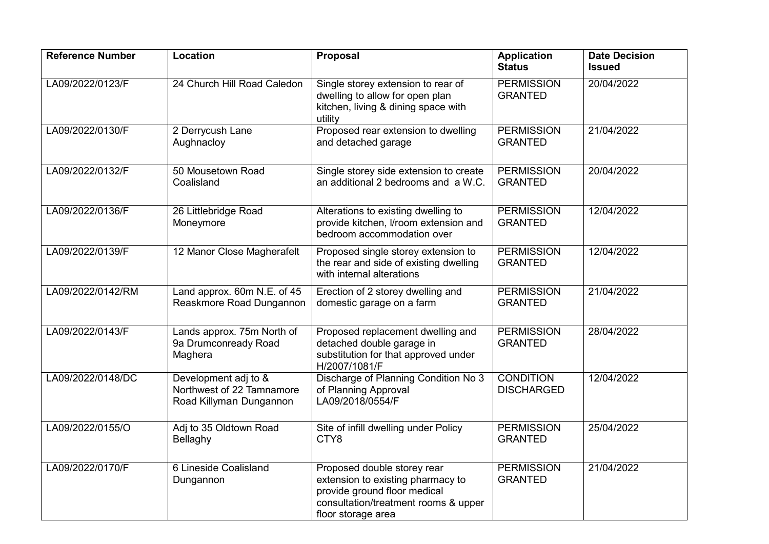| <b>Reference Number</b> | Location                                                                     | Proposal                                                                                                                                                       | <b>Application</b><br><b>Status</b>   | <b>Date Decision</b><br><b>Issued</b> |
|-------------------------|------------------------------------------------------------------------------|----------------------------------------------------------------------------------------------------------------------------------------------------------------|---------------------------------------|---------------------------------------|
| LA09/2022/0123/F        | 24 Church Hill Road Caledon                                                  | Single storey extension to rear of<br>dwelling to allow for open plan<br>kitchen, living & dining space with<br>utility                                        | <b>PERMISSION</b><br><b>GRANTED</b>   | 20/04/2022                            |
| LA09/2022/0130/F        | 2 Derrycush Lane<br>Aughnacloy                                               | Proposed rear extension to dwelling<br>and detached garage                                                                                                     | <b>PERMISSION</b><br><b>GRANTED</b>   | 21/04/2022                            |
| LA09/2022/0132/F        | 50 Mousetown Road<br>Coalisland                                              | Single storey side extension to create<br>an additional 2 bedrooms and a W.C.                                                                                  | <b>PERMISSION</b><br><b>GRANTED</b>   | 20/04/2022                            |
| LA09/2022/0136/F        | 26 Littlebridge Road<br>Moneymore                                            | Alterations to existing dwelling to<br>provide kitchen, I/room extension and<br>bedroom accommodation over                                                     | <b>PERMISSION</b><br><b>GRANTED</b>   | 12/04/2022                            |
| LA09/2022/0139/F        | 12 Manor Close Magherafelt                                                   | Proposed single storey extension to<br>the rear and side of existing dwelling<br>with internal alterations                                                     | <b>PERMISSION</b><br><b>GRANTED</b>   | 12/04/2022                            |
| LA09/2022/0142/RM       | Land approx. 60m N.E. of 45<br>Reaskmore Road Dungannon                      | Erection of 2 storey dwelling and<br>domestic garage on a farm                                                                                                 | <b>PERMISSION</b><br><b>GRANTED</b>   | 21/04/2022                            |
| LA09/2022/0143/F        | Lands approx. 75m North of<br>9a Drumconready Road<br>Maghera                | Proposed replacement dwelling and<br>detached double garage in<br>substitution for that approved under<br>H/2007/1081/F                                        | <b>PERMISSION</b><br><b>GRANTED</b>   | 28/04/2022                            |
| LA09/2022/0148/DC       | Development adj to &<br>Northwest of 22 Tamnamore<br>Road Killyman Dungannon | Discharge of Planning Condition No 3<br>of Planning Approval<br>LA09/2018/0554/F                                                                               | <b>CONDITION</b><br><b>DISCHARGED</b> | 12/04/2022                            |
| LA09/2022/0155/O        | Adj to 35 Oldtown Road<br>Bellaghy                                           | Site of infill dwelling under Policy<br>CTY8                                                                                                                   | <b>PERMISSION</b><br><b>GRANTED</b>   | 25/04/2022                            |
| LA09/2022/0170/F        | 6 Lineside Coalisland<br>Dungannon                                           | Proposed double storey rear<br>extension to existing pharmacy to<br>provide ground floor medical<br>consultation/treatment rooms & upper<br>floor storage area | <b>PERMISSION</b><br><b>GRANTED</b>   | 21/04/2022                            |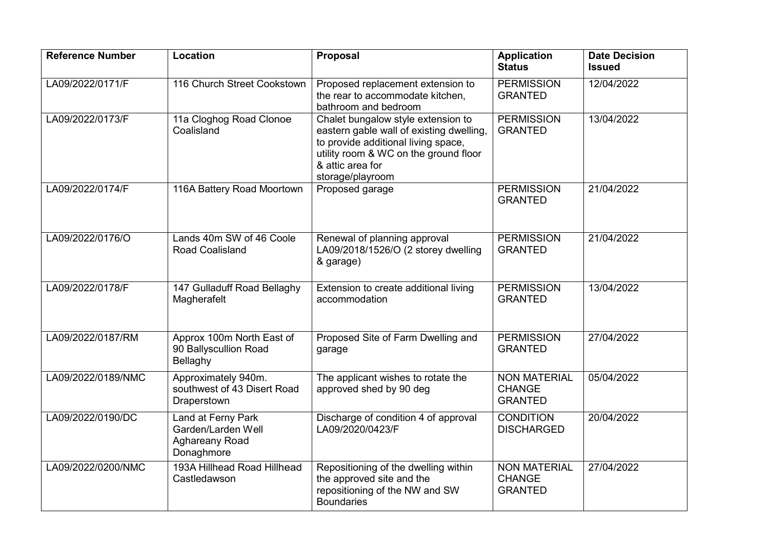| <b>Reference Number</b> | <b>Location</b>                                                          | <b>Proposal</b>                                                                                                                                                                                        | <b>Application</b><br><b>Status</b>                    | <b>Date Decision</b><br><b>Issued</b> |
|-------------------------|--------------------------------------------------------------------------|--------------------------------------------------------------------------------------------------------------------------------------------------------------------------------------------------------|--------------------------------------------------------|---------------------------------------|
| LA09/2022/0171/F        | 116 Church Street Cookstown                                              | Proposed replacement extension to<br>the rear to accommodate kitchen,<br>bathroom and bedroom                                                                                                          | <b>PERMISSION</b><br><b>GRANTED</b>                    | 12/04/2022                            |
| LA09/2022/0173/F        | 11a Cloghog Road Clonoe<br>Coalisland                                    | Chalet bungalow style extension to<br>eastern gable wall of existing dwelling,<br>to provide additional living space,<br>utility room & WC on the ground floor<br>& attic area for<br>storage/playroom | <b>PERMISSION</b><br><b>GRANTED</b>                    | 13/04/2022                            |
| LA09/2022/0174/F        | 116A Battery Road Moortown                                               | Proposed garage                                                                                                                                                                                        | <b>PERMISSION</b><br><b>GRANTED</b>                    | 21/04/2022                            |
| LA09/2022/0176/O        | Lands 40m SW of 46 Coole<br>Road Coalisland                              | Renewal of planning approval<br>LA09/2018/1526/O (2 storey dwelling<br>& garage)                                                                                                                       | <b>PERMISSION</b><br><b>GRANTED</b>                    | 21/04/2022                            |
| LA09/2022/0178/F        | 147 Gulladuff Road Bellaghy<br>Magherafelt                               | Extension to create additional living<br>accommodation                                                                                                                                                 | <b>PERMISSION</b><br><b>GRANTED</b>                    | 13/04/2022                            |
| LA09/2022/0187/RM       | Approx 100m North East of<br>90 Ballyscullion Road<br>Bellaghy           | Proposed Site of Farm Dwelling and<br>garage                                                                                                                                                           | <b>PERMISSION</b><br><b>GRANTED</b>                    | 27/04/2022                            |
| LA09/2022/0189/NMC      | Approximately 940m.<br>southwest of 43 Disert Road<br>Draperstown        | The applicant wishes to rotate the<br>approved shed by 90 deg                                                                                                                                          | <b>NON MATERIAL</b><br><b>CHANGE</b><br><b>GRANTED</b> | 05/04/2022                            |
| LA09/2022/0190/DC       | Land at Ferny Park<br>Garden/Larden Well<br>Aghareany Road<br>Donaghmore | Discharge of condition 4 of approval<br>LA09/2020/0423/F                                                                                                                                               | <b>CONDITION</b><br><b>DISCHARGED</b>                  | 20/04/2022                            |
| LA09/2022/0200/NMC      | 193A Hillhead Road Hillhead<br>Castledawson                              | Repositioning of the dwelling within<br>the approved site and the<br>repositioning of the NW and SW<br><b>Boundaries</b>                                                                               | <b>NON MATERIAL</b><br><b>CHANGE</b><br><b>GRANTED</b> | 27/04/2022                            |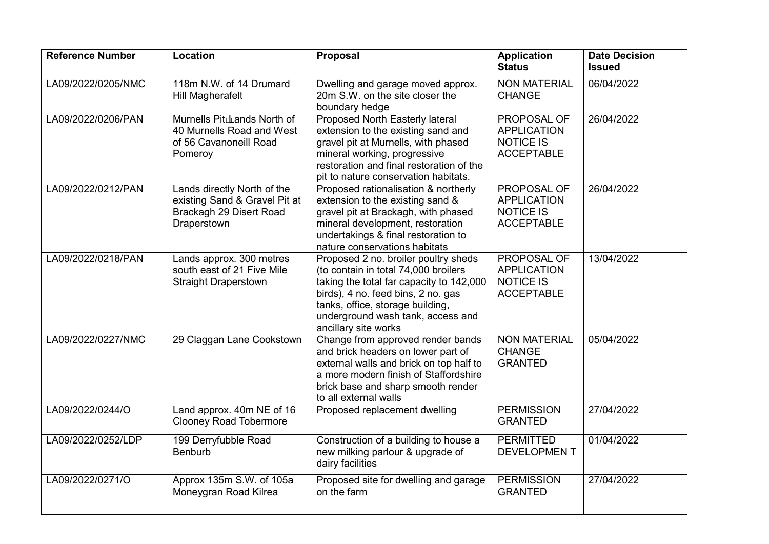| <b>Reference Number</b> | <b>Location</b>                                                                                        | Proposal                                                                                                                                                                                                                                                        | <b>Application</b><br><b>Status</b>                                               | <b>Date Decision</b><br><b>Issued</b> |
|-------------------------|--------------------------------------------------------------------------------------------------------|-----------------------------------------------------------------------------------------------------------------------------------------------------------------------------------------------------------------------------------------------------------------|-----------------------------------------------------------------------------------|---------------------------------------|
| LA09/2022/0205/NMC      | 118m N.W. of 14 Drumard<br>Hill Magherafelt                                                            | Dwelling and garage moved approx.<br>20m S.W. on the site closer the<br>boundary hedge                                                                                                                                                                          | <b>NON MATERIAL</b><br><b>CHANGE</b>                                              | 06/04/2022                            |
| LA09/2022/0206/PAN      | Murnells Pitdands North of<br>40 Murnells Road and West<br>of 56 Cavanoneill Road<br>Pomeroy           | Proposed North Easterly lateral<br>extension to the existing sand and<br>gravel pit at Murnells, with phased<br>mineral working, progressive<br>restoration and final restoration of the<br>pit to nature conservation habitats.                                | PROPOSAL OF<br><b>APPLICATION</b><br><b>NOTICE IS</b><br><b>ACCEPTABLE</b>        | 26/04/2022                            |
| LA09/2022/0212/PAN      | Lands directly North of the<br>existing Sand & Gravel Pit at<br>Brackagh 29 Disert Road<br>Draperstown | Proposed rationalisation & northerly<br>extension to the existing sand &<br>gravel pit at Brackagh, with phased<br>mineral development, restoration<br>undertakings & final restoration to<br>nature conservations habitats                                     | <b>PROPOSAL OF</b><br><b>APPLICATION</b><br><b>NOTICE IS</b><br><b>ACCEPTABLE</b> | 26/04/2022                            |
| LA09/2022/0218/PAN      | Lands approx. 300 metres<br>south east of 21 Five Mile<br><b>Straight Draperstown</b>                  | Proposed 2 no. broiler poultry sheds<br>(to contain in total 74,000 broilers<br>taking the total far capacity to 142,000<br>birds), 4 no. feed bins, 2 no. gas<br>tanks, office, storage building,<br>underground wash tank, access and<br>ancillary site works | PROPOSAL OF<br><b>APPLICATION</b><br><b>NOTICE IS</b><br><b>ACCEPTABLE</b>        | 13/04/2022                            |
| LA09/2022/0227/NMC      | 29 Claggan Lane Cookstown                                                                              | Change from approved render bands<br>and brick headers on lower part of<br>external walls and brick on top half to<br>a more modern finish of Staffordshire<br>brick base and sharp smooth render<br>to all external walls                                      | <b>NON MATERIAL</b><br><b>CHANGE</b><br><b>GRANTED</b>                            | 05/04/2022                            |
| LA09/2022/0244/O        | Land approx. 40m NE of 16<br><b>Clooney Road Tobermore</b>                                             | Proposed replacement dwelling                                                                                                                                                                                                                                   | <b>PERMISSION</b><br><b>GRANTED</b>                                               | 27/04/2022                            |
| LA09/2022/0252/LDP      | 199 Derryfubble Road<br><b>Benburb</b>                                                                 | Construction of a building to house a<br>new milking parlour & upgrade of<br>dairy facilities                                                                                                                                                                   | <b>PERMITTED</b><br>DEVELOPMEN T                                                  | 01/04/2022                            |
| LA09/2022/0271/O        | Approx 135m S.W. of 105a<br>Moneygran Road Kilrea                                                      | Proposed site for dwelling and garage<br>on the farm                                                                                                                                                                                                            | <b>PERMISSION</b><br><b>GRANTED</b>                                               | 27/04/2022                            |